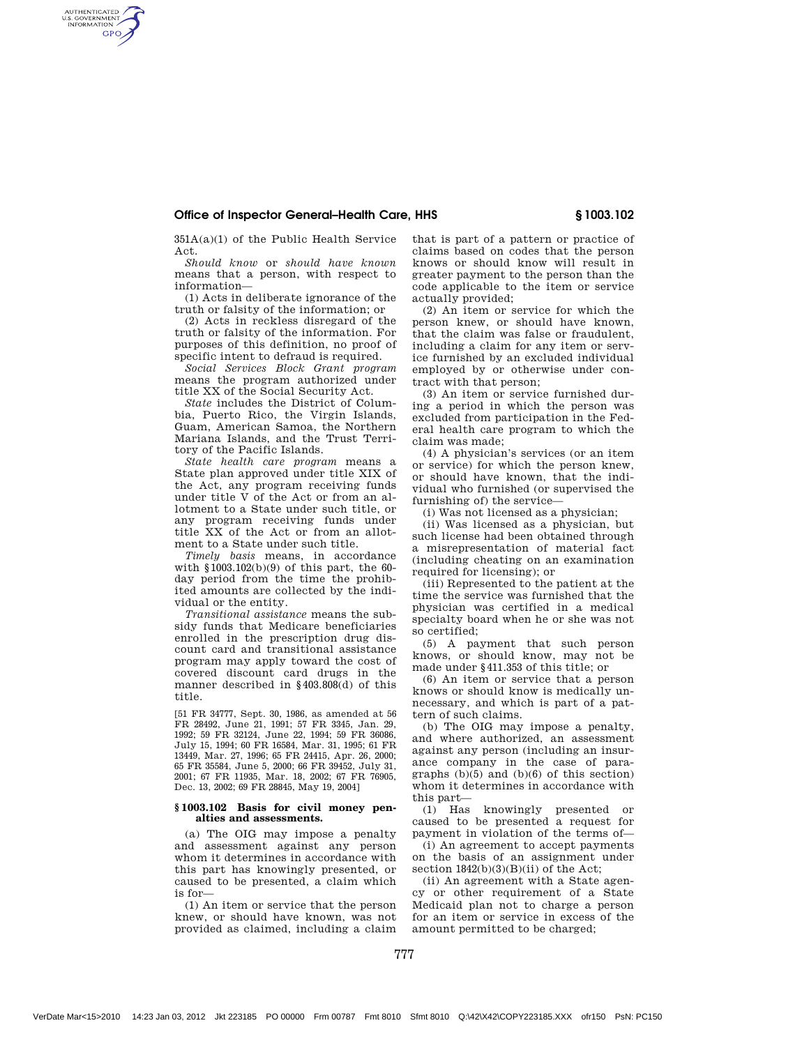## Office of Inspector General–Health Care, HHS § 1003.102

351A(a)(1) of the Public Health Service Act.

AUTHENTICATED<br>U.S. GOVERNMENT<br>INFORMATION **GPO** 

> *Should know* or *should have known* means that a person, with respect to information—

> (1) Acts in deliberate ignorance of the truth or falsity of the information; or

> (2) Acts in reckless disregard of the truth or falsity of the information. For purposes of this definition, no proof of specific intent to defraud is required.

*Social Services Block Grant program* means the program authorized under title XX of the Social Security Act.

*State* includes the District of Columbia, Puerto Rico, the Virgin Islands, Guam, American Samoa, the Northern Mariana Islands, and the Trust Territory of the Pacific Islands.

*State health care program* means a State plan approved under title XIX of the Act, any program receiving funds under title V of the Act or from an allotment to a State under such title, or any program receiving funds under title XX of the Act or from an allotment to a State under such title.

*Timely basis* means, in accordance with §1003.102(b)(9) of this part, the 60 day period from the time the prohibited amounts are collected by the individual or the entity.

*Transitional assistance* means the subsidy funds that Medicare beneficiaries enrolled in the prescription drug discount card and transitional assistance program may apply toward the cost of covered discount card drugs in the manner described in §403.808(d) of this title.

[51 FR 34777, Sept. 30, 1986, as amended at 56 FR 28492, June 21, 1991; 57 FR 3345, Jan. 29, 1992; 59 FR 32124, June 22, 1994; 59 FR 36086, July 15, 1994; 60 FR 16584, Mar. 31, 1995; 61 FR 13449, Mar. 27, 1996; 65 FR 24415, Apr. 26, 2000; 65 FR 35584, June 5, 2000; 66 FR 39452, July 31, 2001; 67 FR 11935, Mar. 18, 2002; 67 FR 76905, Dec. 13, 2002; 69 FR 28845, May 19, 2004]

#### **§ 1003.102 Basis for civil money penalties and assessments.**

(a) The OIG may impose a penalty and assessment against any person whom it determines in accordance with this part has knowingly presented, or caused to be presented, a claim which is for—

(1) An item or service that the person knew, or should have known, was not provided as claimed, including a claim

that is part of a pattern or practice of claims based on codes that the person knows or should know will result in greater payment to the person than the code applicable to the item or service actually provided;

(2) An item or service for which the person knew, or should have known, that the claim was false or fraudulent, including a claim for any item or service furnished by an excluded individual employed by or otherwise under contract with that person;

(3) An item or service furnished during a period in which the person was excluded from participation in the Federal health care program to which the claim was made;

(4) A physician's services (or an item or service) for which the person knew, or should have known, that the individual who furnished (or supervised the furnishing of) the service—

(i) Was not licensed as a physician;

(ii) Was licensed as a physician, but such license had been obtained through a misrepresentation of material fact (including cheating on an examination required for licensing); or

(iii) Represented to the patient at the time the service was furnished that the physician was certified in a medical specialty board when he or she was not so certified;

(5) A payment that such person knows, or should know, may not be made under §411.353 of this title; or

(6) An item or service that a person knows or should know is medically unnecessary, and which is part of a pattern of such claims.

(b) The OIG may impose a penalty, and where authorized, an assessment against any person (including an insurance company in the case of paragraphs  $(b)(5)$  and  $(b)(6)$  of this section) whom it determines in accordance with this part—

(1) Has knowingly presented or caused to be presented a request for payment in violation of the terms of—

(i) An agreement to accept payments on the basis of an assignment under section  $1842(b)(3)(B)(ii)$  of the Act:

(ii) An agreement with a State agency or other requirement of a State Medicaid plan not to charge a person for an item or service in excess of the amount permitted to be charged;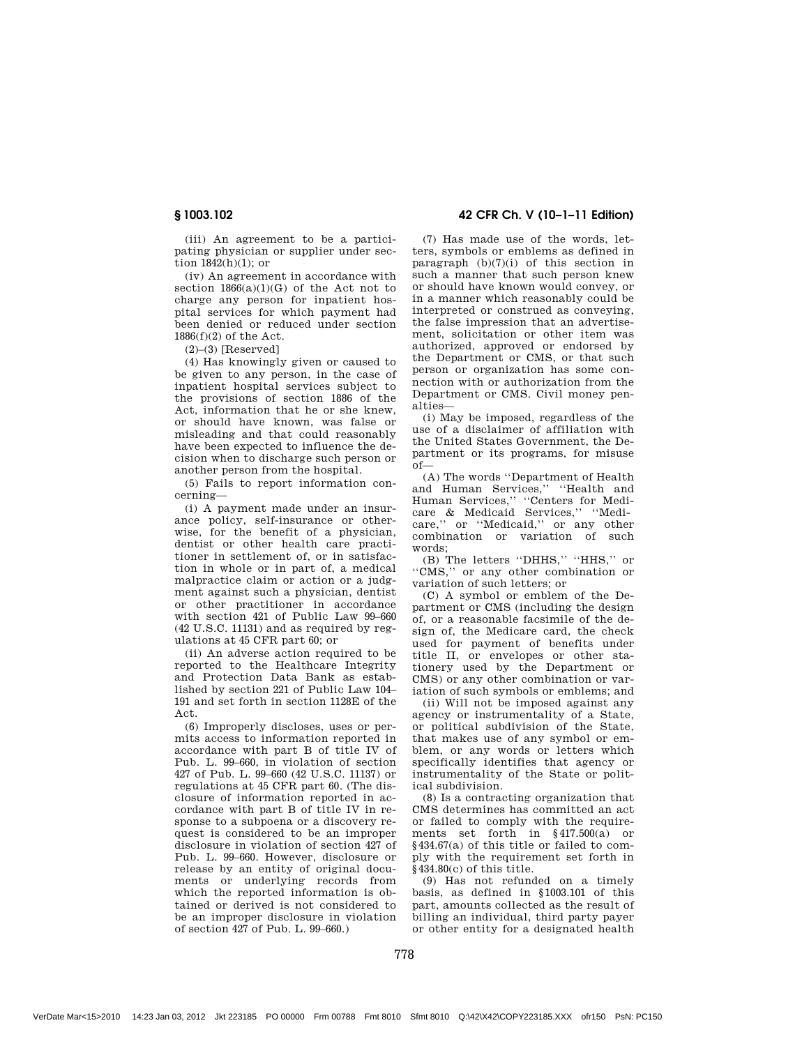(iii) An agreement to be a participating physician or supplier under section  $1842(h)(1)$ ; or

(iv) An agreement in accordance with section  $1866(a)(1)(G)$  of the Act not to charge any person for inpatient hospital services for which payment had been denied or reduced under section 1886(f)(2) of the Act.

 $(2)$ – $(3)$  [Reserved]

(4) Has knowingly given or caused to be given to any person, in the case of inpatient hospital services subject to the provisions of section 1886 of the Act, information that he or she knew, or should have known, was false or misleading and that could reasonably have been expected to influence the decision when to discharge such person or another person from the hospital.

(5) Fails to report information concerning—

(i) A payment made under an insurance policy, self-insurance or otherwise, for the benefit of a physician, dentist or other health care practitioner in settlement of, or in satisfaction in whole or in part of, a medical malpractice claim or action or a judgment against such a physician, dentist or other practitioner in accordance with section 421 of Public Law 99–660  $(42 \text{ U.S.C. } 11131)$  and as required by regulations at 45 CFR part 60; or

(ii) An adverse action required to be reported to the Healthcare Integrity and Protection Data Bank as established by section 221 of Public Law 104– 191 and set forth in section 1128E of the Act.

(6) Improperly discloses, uses or permits access to information reported in accordance with part B of title IV of Pub. L. 99–660, in violation of section 427 of Pub. L. 99–660 (42 U.S.C. 11137) or regulations at 45 CFR part 60. (The disclosure of information reported in accordance with part B of title IV in response to a subpoena or a discovery request is considered to be an improper disclosure in violation of section 427 of Pub. L. 99–660. However, disclosure or release by an entity of original documents or underlying records from which the reported information is obtained or derived is not considered to be an improper disclosure in violation of section 427 of Pub. L. 99–660.)

§ 1003.102 42 CFR Ch. V (10–1–11 Edition)

(7) Has made use of the words, letters, symbols or emblems as defined in paragraph (b)(7)(i) of this section in such a manner that such person knew or should have known would convey, or in a manner which reasonably could be interpreted or construed as conveying, the false impression that an advertisement, solicitation or other item was authorized, approved or endorsed by the Department or CMS, or that such person or organization has some connection with or authorization from the Department or CMS. Civil money penalties—

(i) May be imposed, regardless of the use of a disclaimer of affiliation with the United States Government, the Department or its programs, for misuse  $of$ 

(A) The words ''Department of Health and Human Services,'' ''Health and Human Services,'' ''Centers for Medicare & Medicaid Services,'' ''Medicare." or "Medicaid," or any other combination or variation of such words;

(B) The letters ''DHHS,'' ''HHS,'' or ''CMS,'' or any other combination or variation of such letters; or

(C) A symbol or emblem of the Department or CMS (including the design of, or a reasonable facsimile of the design of, the Medicare card, the check used for payment of benefits under title II, or envelopes or other stationery used by the Department or CMS) or any other combination or variation of such symbols or emblems; and

(ii) Will not be imposed against any agency or instrumentality of a State, or political subdivision of the State, that makes use of any symbol or emblem, or any words or letters which specifically identifies that agency or instrumentality of the State or political subdivision.

(8) Is a contracting organization that CMS determines has committed an act or failed to comply with the requirements set forth in §417.500(a) or §434.67(a) of this title or failed to comply with the requirement set forth in §434.80(c) of this title.

(9) Has not refunded on a timely basis, as defined in §1003.101 of this part, amounts collected as the result of billing an individual, third party payer or other entity for a designated health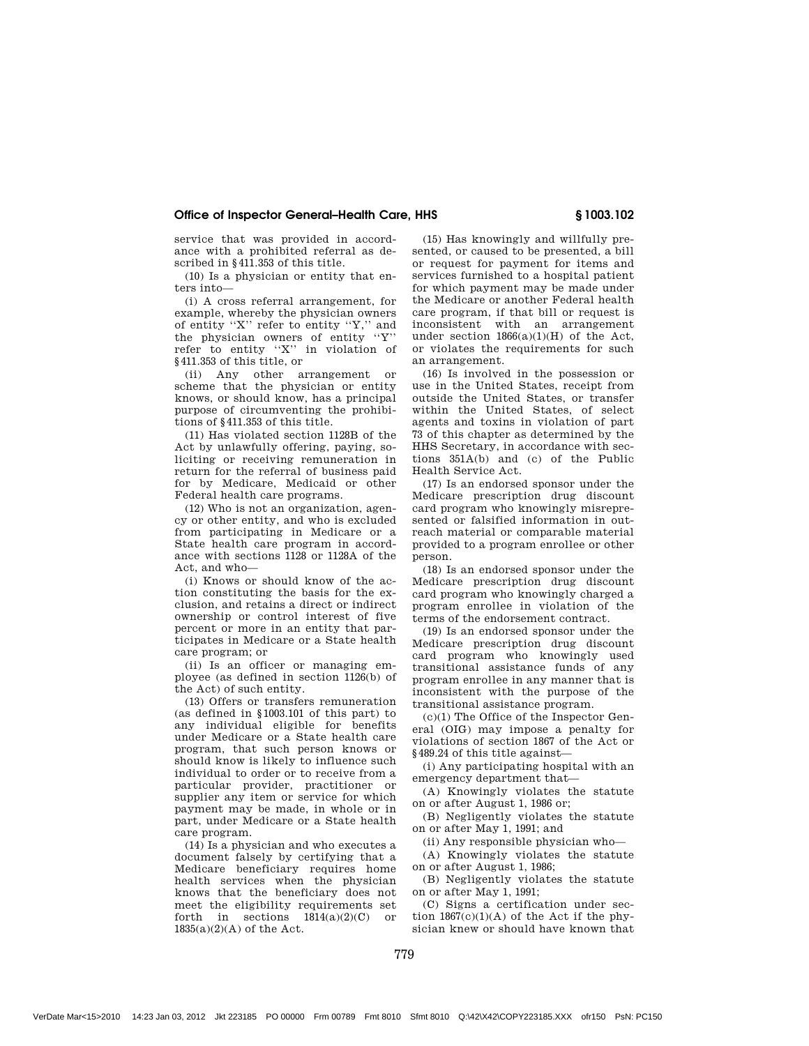## Office of Inspector General–Health Care, HHS § 1003.102

service that was provided in accordance with a prohibited referral as described in §411.353 of this title.

(10) Is a physician or entity that enters into—

(i) A cross referral arrangement, for example, whereby the physician owners of entity ''X'' refer to entity ''Y,'' and the physician owners of entity ''Y'' refer to entity ''X'' in violation of §411.353 of this title, or

(ii) Any other arrangement or scheme that the physician or entity knows, or should know, has a principal purpose of circumventing the prohibitions of §411.353 of this title.

(11) Has violated section 1128B of the Act by unlawfully offering, paying, soliciting or receiving remuneration in return for the referral of business paid for by Medicare, Medicaid or other Federal health care programs.

(12) Who is not an organization, agency or other entity, and who is excluded from participating in Medicare or a State health care program in accordance with sections 1128 or 1128A of the Act, and who-

(i) Knows or should know of the action constituting the basis for the exclusion, and retains a direct or indirect ownership or control interest of five percent or more in an entity that participates in Medicare or a State health care program; or

(ii) Is an officer or managing employee (as defined in section 1126(b) of the Act) of such entity.

(13) Offers or transfers remuneration (as defined in §1003.101 of this part) to any individual eligible for benefits under Medicare or a State health care program, that such person knows or should know is likely to influence such individual to order or to receive from a particular provider, practitioner or supplier any item or service for which payment may be made, in whole or in part, under Medicare or a State health care program.

(14) Is a physician and who executes a document falsely by certifying that a Medicare beneficiary requires home health services when the physician knows that the beneficiary does not meet the eligibility requirements set forth in sections  $1814(a)(2)(C)$  or  $1835(a)(2)(A)$  of the Act.

(15) Has knowingly and willfully presented, or caused to be presented, a bill or request for payment for items and services furnished to a hospital patient for which payment may be made under the Medicare or another Federal health care program, if that bill or request is inconsistent with an arrangement under section  $1866(a)(1)(H)$  of the Act, or violates the requirements for such an arrangement.

(16) Is involved in the possession or use in the United States, receipt from outside the United States, or transfer within the United States, of select agents and toxins in violation of part 73 of this chapter as determined by the HHS Secretary, in accordance with sections 351A(b) and (c) of the Public Health Service Act.

(17) Is an endorsed sponsor under the Medicare prescription drug discount card program who knowingly misrepresented or falsified information in outreach material or comparable material provided to a program enrollee or other person.

(18) Is an endorsed sponsor under the Medicare prescription drug discount card program who knowingly charged a program enrollee in violation of the terms of the endorsement contract.

(19) Is an endorsed sponsor under the Medicare prescription drug discount card program who knowingly used transitional assistance funds of any program enrollee in any manner that is inconsistent with the purpose of the transitional assistance program.

(c)(1) The Office of the Inspector General (OIG) may impose a penalty for violations of section 1867 of the Act or §489.24 of this title against—

(i) Any participating hospital with an emergency department that—

(A) Knowingly violates the statute on or after August 1, 1986 or;

(B) Negligently violates the statute on or after May 1, 1991; and

(ii) Any responsible physician who—

(A) Knowingly violates the statute on or after August 1, 1986;

(B) Negligently violates the statute on or after May 1, 1991;

(C) Signs a certification under section 1867(c)(1)(A) of the Act if the physician knew or should have known that